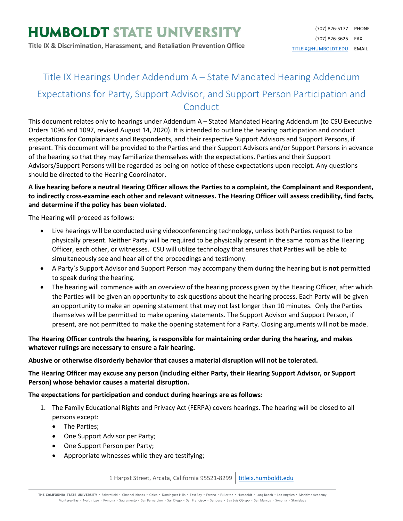## Title IX Hearings Under Addendum A – State Mandated Hearing Addendum Expectations for Party, Support Advisor, and Support Person Participation and **Conduct**

This document relates only to hearings under Addendum A – Stated Mandated Hearing Addendum (to CSU Executive Orders 1096 and 1097, revised August 14, 2020). It is intended to outline the hearing participation and conduct expectations for Complainants and Respondents, and their respective Support Advisors and Support Persons, if present. This document will be provided to the Parties and their Support Advisors and/or Support Persons in advance of the hearing so that they may familiarize themselves with the expectations. Parties and their Support Advisors/Support Persons will be regarded as being on notice of these expectations upon receipt. Any questions should be directed to the Hearing Coordinator.

## **A live hearing before a neutral Hearing Officer allows the Parties to a complaint, the Complainant and Respondent, to indirectly cross-examine each other and relevant witnesses. The Hearing Officer will assess credibility, find facts, and determine if the policy has been violated.**

The Hearing will proceed as follows:

- Live hearings will be conducted using videoconferencing technology, unless both Parties request to be physically present. Neither Party will be required to be physically present in the same room as the Hearing Officer, each other, or witnesses. CSU will utilize technology that ensures that Parties will be able to simultaneously see and hear all of the proceedings and testimony.
- A Party's Support Advisor and Support Person may accompany them during the hearing but is **not** permitted to speak during the hearing.
- The hearing will commence with an overview of the hearing process given by the Hearing Officer, after which the Parties will be given an opportunity to ask questions about the hearing process. Each Party will be given an opportunity to make an opening statement that may not last longer than 10 minutes. Only the Parties themselves will be permitted to make opening statements. The Support Advisor and Support Person, if present, are not permitted to make the opening statement for a Party. Closing arguments will not be made.

**The Hearing Officer controls the hearing, is responsible for maintaining order during the hearing, and makes whatever rulings are necessary to ensure a fair hearing.**

**Abusive or otherwise disorderly behavior that causes a material disruption will not be tolerated.**

**The Hearing Officer may excuse any person (including either Party, their Hearing Support Advisor, or Support Person) whose behavior causes a material disruption.**

## **The expectations for participation and conduct during hearings are as follows:**

- 1. The Family Educational Rights and Privacy Act (FERPA) covers hearings. The hearing will be closed to all persons except:
	- The Parties;
	- One Support Advisor per Party;
	- One Support Person per Party;
	- Appropriate witnesses while they are testifying;

1 Harpst Street, Arcata, California 95521-8299 | [titleix.humboldt.edu](https://titleix.humboldt.edu/)

THE CALIFORNIA STATE UNIVERSITY · Bakersfield · Channel Islands · Chico · Dominguez Hills · East Bay · Fresno · Fullerton · Humboldt · Long Beach · Los Angeles · Maritime Academy Monterey Bay . Northridge . Pomona . Sacramento . San Bernardino . San Diego . San Francisco . San Jose . San Luis Obispo . San Marcos . Sonoma . Stanislaus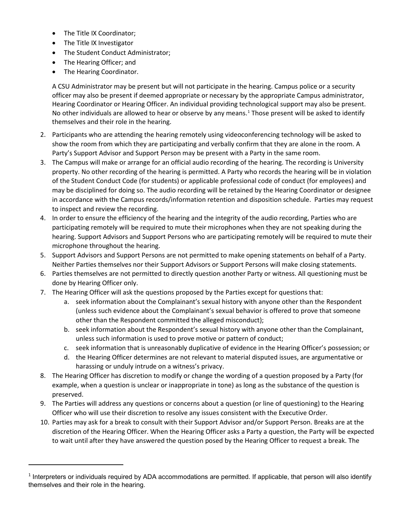- The Title IX Coordinator;
- The Title IX Investigator
- The Student Conduct Administrator;
- The Hearing Officer; and
- The Hearing Coordinator.

l

A CSU Administrator may be present but will not participate in the hearing. Campus police or a security officer may also be present if deemed appropriate or necessary by the appropriate Campus administrator, Hearing Coordinator or Hearing Officer. An individual providing technological support may also be present. No other individuals are allowed to hear or observe by any means.<sup>[1](#page-1-0)</sup> Those present will be asked to identify themselves and their role in the hearing.

- 2. Participants who are attending the hearing remotely using videoconferencing technology will be asked to show the room from which they are participating and verbally confirm that they are alone in the room. A Party's Support Advisor and Support Person may be present with a Party in the same room.
- 3. The Campus will make or arrange for an official audio recording of the hearing. The recording is University property. No other recording of the hearing is permitted. A Party who records the hearing will be in violation of the Student Conduct Code (for students) or applicable professional code of conduct (for employees) and may be disciplined for doing so. The audio recording will be retained by the Hearing Coordinator or designee in accordance with the Campus records/information retention and disposition schedule. Parties may request to inspect and review the recording.
- 4. In order to ensure the efficiency of the hearing and the integrity of the audio recording, Parties who are participating remotely will be required to mute their microphones when they are not speaking during the hearing. Support Advisors and Support Persons who are participating remotely will be required to mute their microphone throughout the hearing.
- 5. Support Advisors and Support Persons are not permitted to make opening statements on behalf of a Party. Neither Parties themselves nor their Support Advisors or Support Persons will make closing statements.
- 6. Parties themselves are not permitted to directly question another Party or witness. All questioning must be done by Hearing Officer only.
- 7. The Hearing Officer will ask the questions proposed by the Parties except for questions that:
	- a. seek information about the Complainant's sexual history with anyone other than the Respondent (unless such evidence about the Complainant's sexual behavior is offered to prove that someone other than the Respondent committed the alleged misconduct);
	- b. seek information about the Respondent's sexual history with anyone other than the Complainant, unless such information is used to prove motive or pattern of conduct;
	- c. seek information that is unreasonably duplicative of evidence in the Hearing Officer's possession; or
	- d. the Hearing Officer determines are not relevant to material disputed issues, are argumentative or harassing or unduly intrude on a witness's privacy.
- 8. The Hearing Officer has discretion to modify or change the wording of a question proposed by a Party (for example, when a question is unclear or inappropriate in tone) as long as the substance of the question is preserved.
- 9. The Parties will address any questions or concerns about a question (or line of questioning) to the Hearing Officer who will use their discretion to resolve any issues consistent with the Executive Order.
- 10. Parties may ask for a break to consult with their Support Advisor and/or Support Person. Breaks are at the discretion of the Hearing Officer. When the Hearing Officer asks a Party a question, the Party will be expected to wait until after they have answered the question posed by the Hearing Officer to request a break. The

<span id="page-1-0"></span> $1$  Interpreters or individuals required by ADA accommodations are permitted. If applicable, that person will also identify themselves and their role in the hearing.